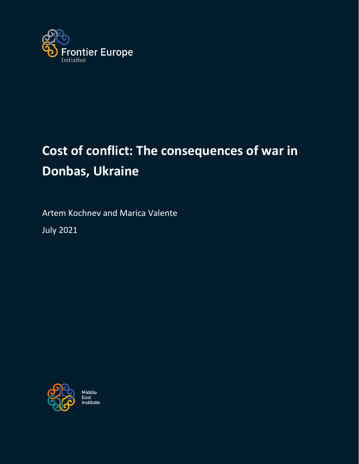

# **Cost of conflict: The consequences of war in Donbas, Ukraine**

Artem Kochnev and Marica Valente July 2021



Middle East Last<br>Institute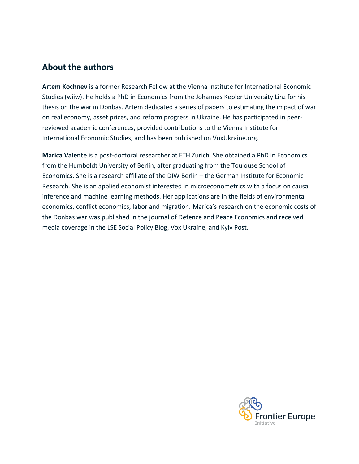# **About the authors**

**Artem Kochnev** is a former Research Fellow at the Vienna Institute for International Economic Studies (wiiw). He holds a PhD in Economics from the Johannes Kepler University Linz for his thesis on the war in Donbas. Artem dedicated a series of papers to estimating the impact of war on real economy, asset prices, and reform progress in Ukraine. He has participated in peerreviewed academic conferences, provided contributions to the Vienna Institute for International Economic Studies, and has been published on VoxUkraine.org.

**Marica Valente** is a post-doctoral researcher at ETH Zurich. She obtained a PhD in Economics from the Humboldt University of Berlin, after graduating from the Toulouse School of Economics. She is a research affiliate of the DIW Berlin – the German Institute for Economic Research. She is an applied economist interested in microeconometrics with a focus on causal inference and machine learning methods. Her applications are in the fields of environmental economics, conflict economics, labor and migration. Marica's research on the economic costs of the Donbas war was published in the journal of Defence and Peace Economics and received media coverage in the LSE Social Policy Blog, Vox Ukraine, and Kyiv Post.

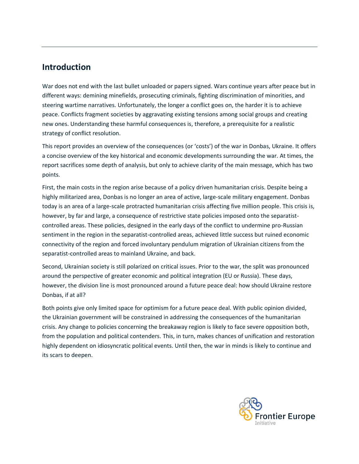## **Introduction**

War does not end with the last bullet unloaded or papers signed. Wars continue years after peace but in different ways: demining minefields, prosecuting criminals, fighting discrimination of minorities, and steering wartime narratives. Unfortunately, the longer a conflict goes on, the harder it is to achieve peace. Conflicts fragment societies by aggravating existing tensions among social groups and creating new ones. Understanding these harmful consequences is, therefore, a prerequisite for a realistic strategy of conflict resolution.

This report provides an overview of the consequences (or 'costs') of the war in Donbas, Ukraine. It offers a concise overview of the key historical and economic developments surrounding the war. At times, the report sacrifices some depth of analysis, but only to achieve clarity of the main message, which has two points.

First, the main costs in the region arise because of a policy driven humanitarian crisis. Despite being a highly militarized area, Donbas is no longer an area of active, large-scale military engagement. Donbas today is an area of a large-scale protracted humanitarian crisis affecting five million people. This crisis is, however, by far and large, a consequence of restrictive state policies imposed onto the separatistcontrolled areas. These policies, designed in the early days of the conflict to undermine pro-Russian sentiment in the region in the separatist-controlled areas, achieved little success but ruined economic connectivity of the region and forced involuntary pendulum migration of Ukrainian citizens from the separatist-controlled areas to mainland Ukraine, and back.

Second, Ukrainian society is still polarized on critical issues. Prior to the war, the split was pronounced around the perspective of greater economic and political integration (EU or Russia). These days, however, the division line is most pronounced around a future peace deal: how should Ukraine restore Donbas, if at all?

Both points give only limited space for optimism for a future peace deal. With public opinion divided, the Ukrainian government will be constrained in addressing the consequences of the humanitarian crisis. Any change to policies concerning the breakaway region is likely to face severe opposition both, from the population and political contenders. This, in turn, makes chances of unification and restoration highly dependent on idiosyncratic political events. Until then, the war in minds is likely to continue and its scars to deepen.

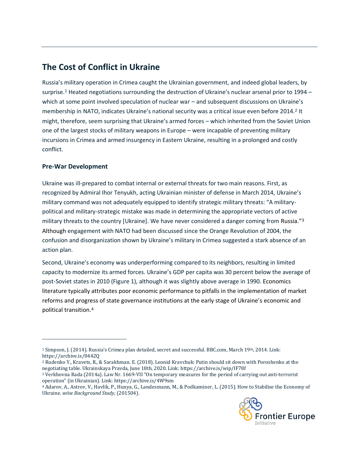# **The Cost of Conflict in Ukraine**

Russia's military operation in Crimea caught the Ukrainian government, and indeed global leaders, by surprise.<sup>1</sup> Heated negotiations surrounding the destruction of Ukraine's nuclear arsenal prior to 1994 – which at some point involved speculation of nuclear war – and subsequent discussions on Ukraine's membership in NATO, indicates Ukraine's national security was a critical issue even before 2014.<sup>2</sup> It might, therefore, seem surprising that Ukraine's armed forces – which inherited from the Soviet Union one of the largest stocks of military weapons in Europe – were incapable of preventing military incursions in Crimea and armed insurgency in Eastern Ukraine, resulting in a prolonged and costly conflict.

#### **Pre-War Development**

Ukraine was ill-prepared to combat internal or external threats for two main reasons. First, as recognized by Admiral Ihor Tenyukh, acting Ukrainian minister of defense in March 2014, Ukraine's military command was not adequately equipped to identify strategic military threats: "A militarypolitical and military-strategic mistake was made in determining the appropriate vectors of active military threats to the country [Ukraine]. We have never considered a danger coming from Russia."<sup>3</sup> Although engagement with NATO had been discussed since the Orange Revolution of 2004, the confusion and disorganization shown by Ukraine's military in Crimea suggested a stark absence of an action plan.

Second, Ukraine's economy was underperforming compared to its neighbors, resulting in limited capacity to modernize its armed forces. Ukraine's GDP per capita was 30 percent below the average of post-Soviet states in 2010 (Figure 1), although it was slightly above average in 1990. Economics literature typically attributes poor economic performance to pitfalls in the implementation of market reforms and progress of state governance institutions at the early stage of Ukraine's economic and political transition.<sup>4</sup>

<sup>4</sup> Adarov, A., Astrov, V., Havlik, P., Hunya, G., Landesmann, M., & Podkaminer, L. (2015). How to Stabilise the Economy of Ukraine. *wiiw Background Study*, (201504).



<sup>1</sup> Simpson, J. (2014). Russia's Crimea plan detailed, secret and successful. BBC.com, March 19th, 2014. Link: <https://archive.is/0442Q>

<sup>2</sup> Rudenko Y., Kravets, R., & Sarakhman. E. (2018). Leonid Kravchuk: Putin should sit down with Poroshenko at the negotiating table. Ukrainskaya Pravda, June 18th, 2020. Link:<https://archive.is/wip/IF78f>

<sup>3</sup> Verkhovna Rada (2014a). Law Nr. 1669-VII "On temporary measures for the period of carrying out anti-terrorist operation" (in Ukrainian). Link: <https://archive.is/4W9sm>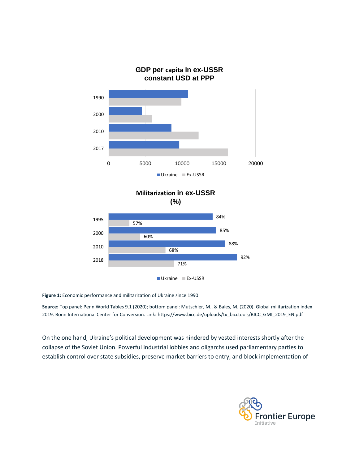

**Figure 1:** Economic performance and militarization of Ukraine since 1990

**Source:** Top panel: Penn World Tables 9.1 (2020); bottom panel: Mutschler, M., & Bales, M. (2020). Global militarization index 2019. Bonn International Center for Conversion. Link: [https://www.bicc.de/uploads/tx\\_bicctools/BICC\\_GMI\\_2019\\_EN.pdf](https://www.bicc.de/uploads/tx_bicctools/BICC_GMI_2019_EN.pdf)

On the one hand, Ukraine's political development was hindered by vested interests shortly after the collapse of the Soviet Union. Powerful industrial lobbies and oligarchs used parliamentary parties to establish control over state subsidies, preserve market barriers to entry, and block implementation of

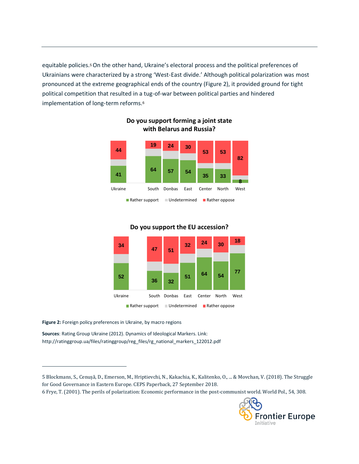equitable policies.5On the other hand, Ukraine's electoral process and the political preferences of Ukrainians were characterized by a strong 'West-East divide.' Although political polarization was most pronounced at the extreme geographical ends of the country (Figure 2), it provided ground for tight political competition that resulted in a tug-of-war between political parties and hindered implementation of long-term reforms.<sup>6</sup>



## **Do you support forming a joint state with Belarus and Russia?**

## **52 36 32 <sup>51</sup> <sup>64</sup> <sup>54</sup> 77 34 47 51 <sup>32</sup> <sup>24</sup> <sup>30</sup> <sup>18</sup>** Ukraine South Donbas East Center North West Rather support Undetermined Rather oppose

**Do you support the EU accession?**

**Figure 2:** Foreign policy preferences in Ukraine, by macro regions

**Sources**: Rating Group Ukraine (2012). Dynamics of Ideological Markers. Link: [http://ratinggroup.ua/files/ratinggroup/reg\\_files/rg\\_national\\_markers\\_122012.pdf](http://ratinggroup.ua/files/ratinggroup/reg_files/rg_national_markers_122012.pdf)

<sup>6</sup> Frye, T. (2001). The perils of polarization: Economic performance in the post-communist world. World Pol., 54, 308.



<sup>5</sup> Blockmans, S., Cenușă, D., Emerson, M., Hriptievchi, N., Kakachia, K., Kalitenko, O., ... & Movchan, V. (2018). The Struggle for Good Governance in Eastern Europe. CEPS Paperback, 27 September 2018.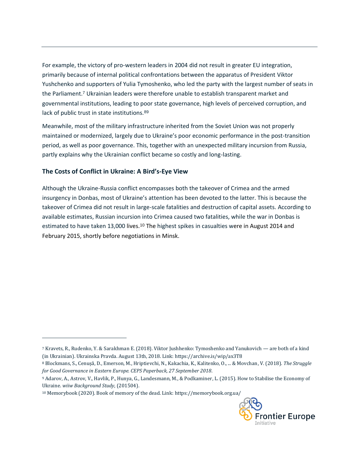For example, the victory of pro-western leaders in 2004 did not result in greater EU integration, primarily because of internal political confrontations between the apparatus of President Viktor Yushchenko and supporters of Yulia Tymoshenko, who led the party with the largest number of seats in the Parliament.<sup>7</sup> Ukrainian leaders were therefore unable to establish transparent market and governmental institutions, leading to poor state governance, high levels of perceived corruption, and lack of public trust in state institutions.<sup>89</sup>

Meanwhile, most of the military infrastructure inherited from the Soviet Union was not properly maintained or modernized, largely due to Ukraine's poor economic performance in the post-transition period, as well as poor governance. This, together with an unexpected military incursion from Russia, partly explains why the Ukrainian conflict became so costly and long-lasting.

#### **The Costs of Conflict in Ukraine: A Bird's-Eye View**

Although the Ukraine-Russia conflict encompasses both the takeover of Crimea and the armed insurgency in Donbas, most of Ukraine's attention has been devoted to the latter. This is because the takeover of Crimea did not result in large-scale fatalities and destruction of capital assets. According to available estimates, Russian incursion into Crimea caused two fatalities, while the war in Donbas is estimated to have taken 13,000 lives.<sup>10</sup> The highest spikes in casualties were in August 2014 and February 2015, shortly before negotiations in Minsk.

<sup>10</sup> Memorybook (2020). Book of memory of the dead. Link[: https://memorybook.org.ua/](https://memorybook.org.ua/)



<sup>7</sup> Kravets, R., Rudenko, Y. & Sarakhman E. (2018). Viktor Jushhenko: Tymoshenko and Yanukovich — are both of a kind (in Ukrainian). Ukrainska Pravda. August 13th, 2018. Link[: https://archive.is/wip/ax3T8](https://archive.is/wip/ax3T8)

<sup>8</sup> Blockmans, S., Cenușă, D., Emerson, M., Hriptievchi, N., Kakachia, K., Kalitenko, O., ... & Movchan, V. (2018). *The Struggle for Good Governance in Eastern Europe. CEPS Paperback, 27 September 2018*.

<sup>9</sup> Adarov, A., Astrov, V., Havlik, P., Hunya, G., Landesmann, M., & Podkaminer, L. (2015). How to Stabilise the Economy of Ukraine. *wiiw Background Study*, (201504).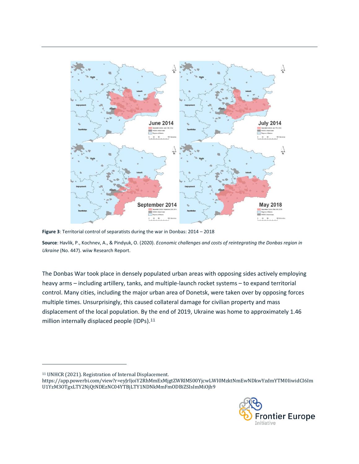

**Figure 3**: Territorial control of separatists during the war in Donbas: 2014 – 2018

**Source**: Havlik, P., Kochnev, A., & Pindyuk, O. (2020). *Economic challenges and costs of reintegrating the Donbas region in Ukraine* (No. 447). wiiw Research Report.

The Donbas War took place in densely populated urban areas with opposing sides actively employing heavy arms – including artillery, tanks, and multiple-launch rocket systems – to expand territorial control. Many cities, including the major urban area of Donetsk, were taken over by opposing forces multiple times. Unsurprisingly, this caused collateral damage for civilian property and mass displacement of the local population. By the end of 2019, Ukraine was home to approximately 1.46 million internally displaced people (IDPs).<sup>11</sup>

[https://app.powerbi.com/view?r=eyJrIjoiY2RhMmExMjgtZWRlMS00YjcwLWI0MzktNmEwNDkwYzdmYTM0IiwidCI6Im](https://app.powerbi.com/view?r=eyJrIjoiY2RhMmExMjgtZWRlMS00YjcwLWI0MzktNmEwNDkwYzdmYTM0IiwidCI6ImU1YzM3OTgxLTY2NjQtNDEzNC04YTBjLTY1NDNkMmFmODBiZSIsImMiOjh9) [U1YzM3OTgxLTY2NjQtNDEzNC04YTBjLTY1NDNkMmFmODBiZSIsImMiOjh9](https://app.powerbi.com/view?r=eyJrIjoiY2RhMmExMjgtZWRlMS00YjcwLWI0MzktNmEwNDkwYzdmYTM0IiwidCI6ImU1YzM3OTgxLTY2NjQtNDEzNC04YTBjLTY1NDNkMmFmODBiZSIsImMiOjh9)



<sup>11</sup> UNHCR (2021). Registration of Internal Displacement.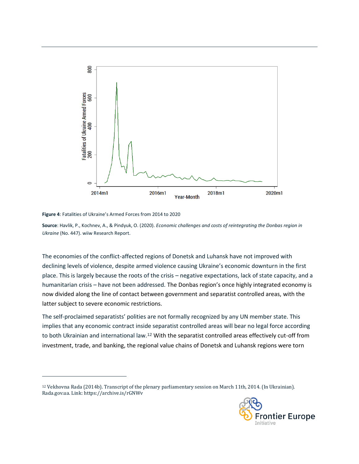

**Figure 4**: Fatalities of Ukraine's Armed Forces from 2014 to 2020

**Source**: Havlik, P., Kochnev, A., & Pindyuk, O. (2020). *Economic challenges and costs of reintegrating the Donbas region in Ukraine* (No. 447). wiiw Research Report.

The economies of the conflict-affected regions of Donetsk and Luhansk have not improved with declining levels of violence, despite armed violence causing Ukraine's economic downturn in the first place. This is largely because the roots of the crisis – negative expectations, lack of state capacity, and a humanitarian crisis – have not been addressed. The Donbas region's once highly integrated economy is now divided along the line of contact between government and separatist controlled areas, with the latter subject to severe economic restrictions.

The self-proclaimed separatists' polities are not formally recognized by any UN member state. This implies that any economic contract inside separatist controlled areas will bear no legal force according to both Ukrainian and international law.<sup>12</sup> With the separatist controlled areas effectively cut-off from investment, trade, and banking, the regional value chains of Donetsk and Luhansk regions were torn

<sup>12</sup> Vekhovna Rada (2014b). Transcript of the plenary parliamentary session on March 11th, 2014. (In Ukrainian). Rada.gov.ua. Link[: https://archive.is/rGNWv](https://archive.is/rGNWv)

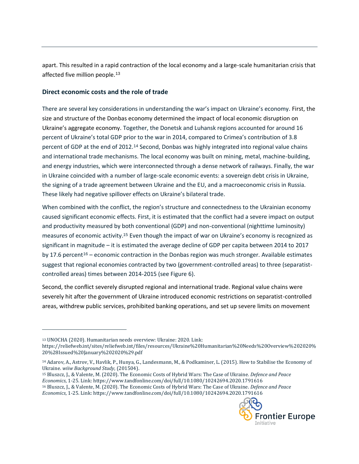apart. This resulted in a rapid contraction of the local economy and a large-scale humanitarian crisis that affected five million people.<sup>13</sup>

#### **Direct economic costs and the role of trade**

There are several key considerations in understanding the war's impact on Ukraine's economy. First, the size and structure of the Donbas economy determined the impact of local economic disruption on Ukraine's aggregate economy. Together, the Donetsk and Luhansk regions accounted for around 16 percent of Ukraine's total GDP prior to the war in 2014, compared to Crimea's contribution of 3.8 percent of GDP at the end of 2012.<sup>14</sup> Second, Donbas was highly integrated into regional value chains and international trade mechanisms. The local economy was built on mining, metal, machine-building, and energy industries, which were interconnected through a dense network of railways. Finally, the war in Ukraine coincided with a number of large-scale economic events: a sovereign debt crisis in Ukraine, the signing of a trade agreement between Ukraine and the EU, and a macroeconomic crisis in Russia. These likely had negative spillover effects on Ukraine's bilateral trade.

When combined with the conflict, the region's structure and connectedness to the Ukrainian economy caused significant economic effects. First, it is estimated that the conflict had a severe impact on output and productivity measured by both conventional (GDP) and non-conventional (nighttime luminosity) measures of economic activity.<sup>15</sup> Even though the impact of war on Ukraine's economy is recognized as significant in magnitude – it is estimated the average decline of GDP per capita between 2014 to 2017 by 17.6 percent<sup>16</sup> – economic contraction in the Donbas region was much stronger. Available estimates suggest that regional economies contracted by two (government-controlled areas) to three (separatistcontrolled areas) times between 2014-2015 (see Figure 6).

Second, the conflict severely disrupted regional and international trade. Regional value chains were severely hit after the government of Ukraine introduced economic restrictions on separatist-controlled areas, withdrew public services, prohibited banking operations, and set up severe limits on movement

<sup>15</sup> Bluszcz, J., & Valente, M. (2020). The Economic Costs of Hybrid Wars: The Case of Ukraine. *Defence and Peace Economics*, 1-25. Link[: https://www.tandfonline.com/doi/full/10.1080/10242694.2020.1791616](https://www.tandfonline.com/doi/full/10.1080/10242694.2020.1791616) <sup>16</sup> Bluszcz, J., & Valente, M. (2020). The Economic Costs of Hybrid Wars: The Case of Ukraine. *Defence and Peace Economics*, 1-25. Link[: https://www.tandfonline.com/doi/full/10.1080/10242694.2020.1791616](https://www.tandfonline.com/doi/full/10.1080/10242694.2020.1791616)



<sup>13</sup> UNOCHA (2020). Humanitarian needs overview: Ukraine: 2020. Link:

[https://reliefweb.int/sites/reliefweb.int/files/resources/Ukraine%20Humanitarian%20Needs%20Overview%202020%](https://reliefweb.int/sites/reliefweb.int/files/resources/Ukraine%20Humanitarian%20Needs%20Overview%202020%20(Issued%20January%202020).pdf) [20%28Issued%20January%202020%29.pdf](https://reliefweb.int/sites/reliefweb.int/files/resources/Ukraine%20Humanitarian%20Needs%20Overview%202020%20(Issued%20January%202020).pdf)

<sup>14</sup> Adarov, A., Astrov, V., Havlik, P., Hunya, G., Landesmann, M., & Podkaminer, L. (2015). How to Stabilise the Economy of Ukraine. *wiiw Background Study*, (201504).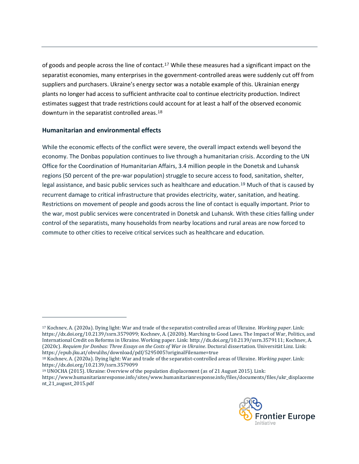of goods and people across the line of contact.<sup>17</sup> While these measures had a significant impact on the separatist economies, many enterprises in the government-controlled areas were suddenly cut off from suppliers and purchasers. Ukraine's energy sector was a notable example of this. Ukrainian energy plants no longer had access to sufficient anthracite coal to continue electricity production. Indirect estimates suggest that trade restrictions could account for at least a half of the observed economic downturn in the separatist controlled areas.<sup>18</sup>

#### **Humanitarian and environmental effects**

While the economic effects of the conflict were severe, the overall impact extends well beyond the economy. The Donbas population continues to live through a humanitarian crisis. According to the UN Office for the Coordination of Humanitarian Affairs, 3.4 million people in the Donetsk and Luhansk regions (50 percent of the pre-war population) struggle to secure access to food, sanitation, shelter, legal assistance, and basic public services such as healthcare and education.<sup>19</sup> Much of that is caused by recurrent damage to critical infrastructure that provides electricity, water, sanitation, and heating. Restrictions on movement of people and goods across the line of contact is equally important. Prior to the war, most public services were concentrated in Donetsk and Luhansk. With these cities falling under control of the separatists, many households from nearby locations and rural areas are now forced to commute to other cities to receive critical services such as healthcare and education.

[https://www.humanitarianresponse.info/sites/www.humanitarianresponse.info/files/documents/files/ukr\\_displaceme](https://www.humanitarianresponse.info/sites/www.humanitarianresponse.info/files/documents/files/ukr_displacement_21_august_2015.pdf) [nt\\_21\\_august\\_2015.pdf](https://www.humanitarianresponse.info/sites/www.humanitarianresponse.info/files/documents/files/ukr_displacement_21_august_2015.pdf)



<sup>17</sup> Kochnev, A. (2020a). Dying light: War and trade of the separatist-controlled areas of Ukraine. *Working paper*. Link: [https://dx.doi.org/10.2139/ssrn.3579099;](https://dx.doi.org/10.2139/ssrn.3579099) Kochnev, A. (2020b). Marching to Good Laws. The Impact of War, Politics, and International Credit on Reforms in Ukraine. Working paper. Link: [http://dx.doi.org/10.2139/ssrn.3579111;](https://dx.doi.org/10.2139/ssrn.3579111) Kochnev, A. (2020c). *Requiem for Donbas: Three Essays on the Costs of War in Ukraine*. Doctoral dissertation. Universität Linz. Link: <https://epub.jku.at/obvulihs/download/pdf/5295005?originalFilename=true>

<sup>18</sup> Kochnev, A. (2020a). Dying light: War and trade of the separatist-controlled areas of Ukraine. *Working paper*. Link: <https://dx.doi.org/10.2139/ssrn.3579099>

<sup>19</sup> UNOCHA (2015). Ukraine: Overview of the population displacement (as of 21 August 2015). Link: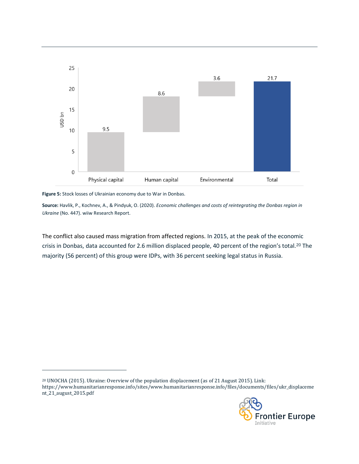

**Figure 5:** Stock losses of Ukrainian economy due to War in Donbas.

**Source:** Havlik, P., Kochnev, A., & Pindyuk, O. (2020). *Economic challenges and costs of reintegrating the Donbas region in Ukraine* (No. 447). wiiw Research Report.

The conflict also caused mass migration from affected regions. In 2015, at the peak of the economic crisis in Donbas, data accounted for 2.6 million displaced people, 40 percent of the region's total.<sup>20</sup> The majority (56 percent) of this group were IDPs, with 36 percent seeking legal status in Russia.

<sup>20</sup> UNOCHA (2015). Ukraine: Overview of the population displacement (as of 21 August 2015). Link: [https://www.humanitarianresponse.info/sites/www.humanitarianresponse.info/files/documents/files/ukr\\_displaceme](https://www.humanitarianresponse.info/sites/www.humanitarianresponse.info/files/documents/files/ukr_displacement_21_august_2015.pdf) [nt\\_21\\_august\\_2015.pdf](https://www.humanitarianresponse.info/sites/www.humanitarianresponse.info/files/documents/files/ukr_displacement_21_august_2015.pdf)

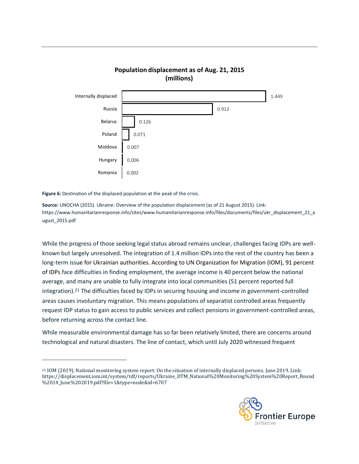

**Figure 6:** Destination of the displaced population at the peak of the crisis.

**Source:** UNOCHA (2015). Ukraine: Overview of the population displacement (as of 21 August 2015). Link: [https://www.humanitarianresponse.info/sites/www.humanitarianresponse.info/files/documents/files/ukr\\_displacement\\_21\\_a](https://www.humanitarianresponse.info/sites/www.humanitarianresponse.info/files/documents/files/ukr_displacement_21_august_2015.pdf) [ugust\\_2015.pdf](https://www.humanitarianresponse.info/sites/www.humanitarianresponse.info/files/documents/files/ukr_displacement_21_august_2015.pdf)

While the progress of those seeking legal status abroad remains unclear, challenges facing IDPs are wellknown but largely unresolved. The integration of 1.4 million IDPs into the rest of the country has been a long-term issue for Ukrainian authorities. According to UN Organization for Migration (IOM), 91 percent of IDPs face difficulties in finding employment, the average income is 40 percent below the national average, and many are unable to fully integrate into local communities (51 percent reported full integration).<sup>21</sup> The difficulties faced by IDPs in securing housing and income in government-controlled areas causes involuntary migration. This means populations of separatist controlled areas frequently request IDP status to gain access to public services and collect pensions in government-controlled areas, before returning across the contact line.

While measurable environmental damage has so far been relatively limited, there are concerns around technological and natural disasters. The line of contact, which until July 2020 witnessed frequent

<sup>21</sup> IOM (2019). National monitoring system report: On the situation of internally displaced persons. June 2019. Link: [https://displacement.iom.int/system/tdf/reports/Ukraine\\_DTM\\_National%20Monitoring%20System%20Report\\_Round](https://displacement.iom.int/system/tdf/reports/Ukraine_DTM_National%20Monitoring%20System%20Report_Round%2014_June%202019.pdf?file=1&type=node&id=6707) [%2014\\_June%202019.pdf?file=1&type=node&id=6707](https://displacement.iom.int/system/tdf/reports/Ukraine_DTM_National%20Monitoring%20System%20Report_Round%2014_June%202019.pdf?file=1&type=node&id=6707)

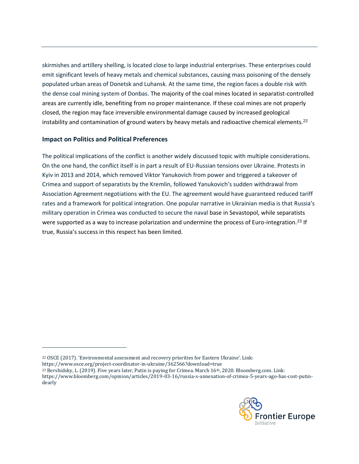skirmishes and artillery shelling, is located close to large industrial enterprises. These enterprises could emit significant levels of heavy metals and chemical substances, causing mass poisoning of the densely populated urban areas of Donetsk and Luhansk. At the same time, the region faces a double risk with the dense coal mining system of Donbas. The majority of the coal mines located in separatist-controlled areas are currently idle, benefiting from no proper maintenance. If these coal mines are not properly closed, the region may face irreversible environmental damage caused by increased geological instability and contamination of ground waters by heavy metals and radioactive chemical elements.<sup>22</sup>

#### **Impact on Politics and Political Preferences**

The political implications of the conflict is another widely discussed topic with multiple considerations. On the one hand, the conflict itself is in part a result of EU-Russian tensions over Ukraine. Protests in Kyiv in 2013 and 2014, which removed Viktor Yanukovich from power and triggered a takeover of Crimea and support of separatists by the Kremlin, followed Yanukovich's sudden withdrawal from Association Agreement negotiations with the EU. The agreement would have guaranteed reduced tariff rates and a framework for political integration. One popular narrative in Ukrainian media is that Russia's military operation in Crimea was conducted to secure the naval base in Sevastopol, while separatists were supported as a way to increase polarization and undermine the process of Euro-integration.<sup>23</sup> If true, Russia's success in this respect has been limited.

https://www.osce.org/project-coordinator-in-ukraine/362566?download=true

[https://www.bloomberg.com/opinion/articles/2019-03-16/russia-s-annexation-of-crimea-5-years-ago-has-cost-putin](https://www.bloomberg.com/opinion/articles/2019-03-16/russia-s-annexation-of-crimea-5-years-ago-has-cost-putin-dearly)[dearly](https://www.bloomberg.com/opinion/articles/2019-03-16/russia-s-annexation-of-crimea-5-years-ago-has-cost-putin-dearly)



<sup>22</sup> OSCE (2017). 'Environmental assessment and recovery priorities for Eastern Ukraine'. Link:

<sup>23</sup> Bershidsky, L. (2019). Five years later, Putin is paying for Crimea. March 16th, 2020. Bloomberg.com. Link: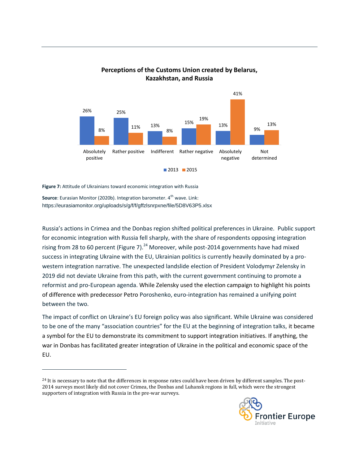

### **Perceptions of the Customs Union created by Belarus, Kazakhstan, and Russia**

**Figure 7:** Attitude of Ukrainians toward economic integration with Russia

**Source**: Eurasian Monitor (2020b). Integration barometer. 4<sup>th</sup> wave. Link: <https://eurasiamonitor.org/uploads/s/g/f/f/gffzlsnrpxne/file/5D8V63P5.xlsx>

Russia's actions in Crimea and the Donbas region shifted political preferences in Ukraine. Public support for economic integration with Russia fell sharply, with the share of respondents opposing integration rising from 28 to 60 percent (Figure 7).<sup>24</sup> Moreover, while post-2014 governments have had mixed success in integrating Ukraine with the EU, Ukrainian politics is currently heavily dominated by a prowestern integration narrative. The unexpected landslide election of President Volodymyr Zelensky in 2019 did not deviate Ukraine from this path, with the current government continuing to promote a reformist and pro-European agenda. While Zelensky used the election campaign to highlight his points of difference with predecessor Petro Poroshenko, euro-integration has remained a unifying point between the two.

The impact of conflict on Ukraine's EU foreign policy was also significant. While Ukraine was considered to be one of the many "association countries" for the EU at the beginning of integration talks, it became a symbol for the EU to demonstrate its commitment to support integration initiatives. If anything, the war in Donbas has facilitated greater integration of Ukraine in the political and economic space of the EU.

 $^{24}$  It is necessary to note that the differences in response rates could have been driven by different samples. The post-2014 surveys most likely did not cover Crimea, the Donbas and Luhansk regions in full, which were the strongest supporters of integration with Russia in the pre-war surveys.

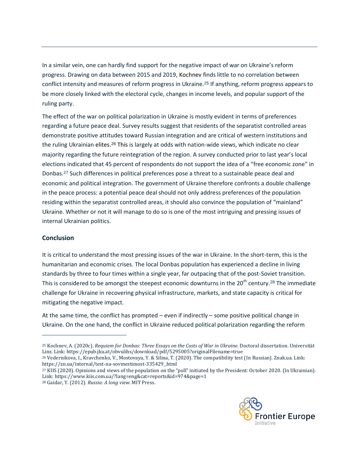In a similar vein, one can hardly find support for the negative impact of war on Ukraine's reform progress. Drawing on data between 2015 and 2019, Kochnev finds little to no correlation between conflict intensity and measures of reform progress in Ukraine.<sup>25</sup> If anything, reform progress appears to be more closely linked with the electoral cycle, changes in income levels, and popular support of the ruling party.

The effect of the war on political polarization in Ukraine is mostly evident in terms of preferences regarding a future peace deal. Survey results suggest that residents of the separatist controlled areas demonstrate positive attitudes toward Russian integration and are critical of western institutions and the ruling Ukrainian elites.<sup>26</sup> This is largely at odds with nation-wide views, which indicate no clear majority regarding the future reintegration of the region. A survey conducted prior to last year's local elections indicated that 45 percent of respondents do not support the idea of a "free economic zone" in Donbas.<sup>27</sup> Such differences in political preferences pose a threat to a sustainable peace deal and economic and political integration. The government of Ukraine therefore confronts a double challenge in the peace process: a potential peace deal should not only address preferences of the population residing within the separatist controlled areas, it should also convince the population of "mainland" Ukraine. Whether or not it will manage to do so is one of the most intriguing and pressing issues of internal Ukrainian politics.

#### **Conclusion**

It is critical to understand the most pressing issues of the war in Ukraine. In the short-term, this is the humanitarian and economic crises. The local Donbas population has experienced a decline in living standards by three to four times within a single year, far outpacing that of the post-Soviet transition. This is considered to be amongst the steepest economic downturns in the  $20<sup>th</sup>$  century.<sup>28</sup> The immediate challenge for Ukraine in recovering physical infrastructure, markets, and state capacity is critical for mitigating the negative impact.

At the same time, the conflict has prompted – even if indirectly – some positive political change in Ukraine. On the one hand, the conflict in Ukraine reduced political polarization regarding the reform

<sup>26</sup> Vedernikova, I., Kravchenko, V., Mostovaya, Y. & Silina, T. (2020). The compatibility test (In Russian). Znak.ua. Link: [https://zn.ua/internal/test-na-sovmestimost-335429\\_.html](https://zn.ua/internal/test-na-sovmestimost-335429_.html)

<sup>27</sup> KIIS (2020). Opinions and views of the population on the "poll" initiated by the President: October 2020. (In Ukrainian). Link[: https://www.kiis.com.ua/?lang=eng&cat=reports&id=974&page=1](https://www.kiis.com.ua/?lang=eng&cat=reports&id=974&page=1) <sup>28</sup> Gaidar, Y. (2012). *Russia: A long view*. MIT Press.



<sup>25</sup> Kochnev, A. (2020c). *Requiem for Donbas: Three Essays on the Costs of War in Ukraine*. Doctoral dissertation. Universität Linz. Link[: https://epub.jku.at/obvulihs/download/pdf/5295005?originalFilename=true](https://epub.jku.at/obvulihs/download/pdf/5295005?originalFilename=true)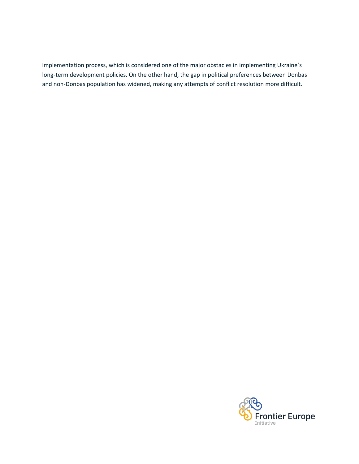implementation process, which is considered one of the major obstacles in implementing Ukraine's long-term development policies. On the other hand, the gap in political preferences between Donbas and non-Donbas population has widened, making any attempts of conflict resolution more difficult.